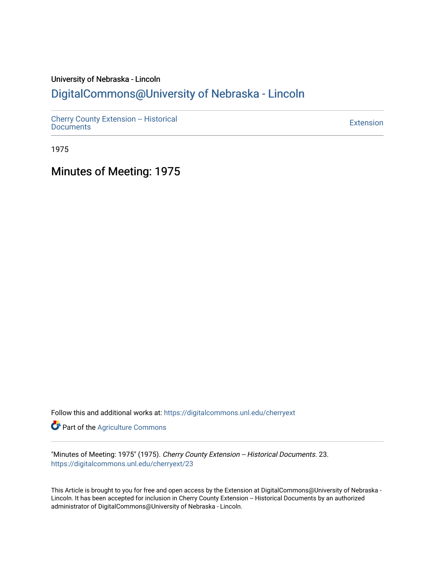# University of Nebraska - Lincoln [DigitalCommons@University of Nebraska - Lincoln](https://digitalcommons.unl.edu/)

[Cherry County Extension -- Historical](https://digitalcommons.unl.edu/cherryext)  [Documents](https://digitalcommons.unl.edu/cherryext) [Extension](https://digitalcommons.unl.edu/coop_extension) 

1975

Minutes of Meeting: 1975

Follow this and additional works at: [https://digitalcommons.unl.edu/cherryext](https://digitalcommons.unl.edu/cherryext?utm_source=digitalcommons.unl.edu%2Fcherryext%2F23&utm_medium=PDF&utm_campaign=PDFCoverPages) 

**Part of the [Agriculture Commons](http://network.bepress.com/hgg/discipline/1076?utm_source=digitalcommons.unl.edu%2Fcherryext%2F23&utm_medium=PDF&utm_campaign=PDFCoverPages)** 

"Minutes of Meeting: 1975" (1975). Cherry County Extension -- Historical Documents. 23. [https://digitalcommons.unl.edu/cherryext/23](https://digitalcommons.unl.edu/cherryext/23?utm_source=digitalcommons.unl.edu%2Fcherryext%2F23&utm_medium=PDF&utm_campaign=PDFCoverPages)

This Article is brought to you for free and open access by the Extension at DigitalCommons@University of Nebraska - Lincoln. It has been accepted for inclusion in Cherry County Extension -- Historical Documents by an authorized administrator of DigitalCommons@University of Nebraska - Lincoln.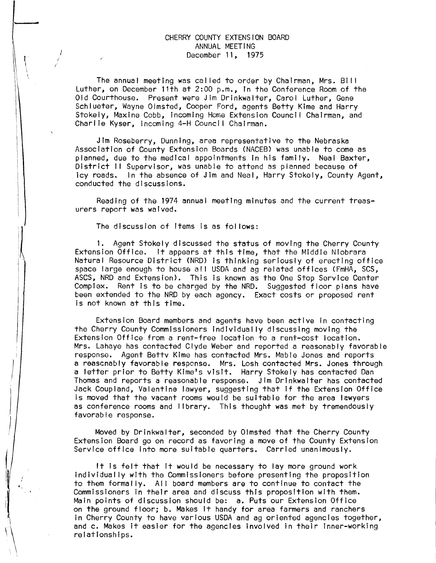## CHERRY COUNTY EXTENSION BOARD ANNUAL MEETING December 11, 1975

The annual meeting was cal led to order by Chairman, Mrs. Bill Luther, on December 11th at 2:00 p.m., In the Conference Room of the Old Courthouse. Present were Jim Drinkwalter, Carol Luther, Gene Schlueter, Wayne Olmsted, Cooper Ford, agents Betty Kime and Harry Stokely, Maxine Cobb, Incoming Home Extension Council Chairman, and Charlie Kyser, incoming 4-H Council Chairman.

Jim Roseberry, Dunning, area representative to the Nebraska Association of County Extension Boards (NACEB) was unable to come as planned, due to the medical appointments In his family. Neal Baxter, District II Supervisor, was unable to attend as planned because of icy roads. In the absence of Jim and Neal. Harry Stokely. County / In the absence of Jim and Neal, Harry Stokely, County Agent, conducted the discussions.

Reading of the 1974 annual meeting minutes and the current treasurers report was waived.

The discussion of items is as fol lows:

*i* 

1. Agent Stokely discussed the status of moving the Cherry County Extension Office. It appears at this time, that the Middle Niobrara Natural Resource District (NRD) is thinking seriously of erecting office space large enough to house all USDA and ag related offices (FmHA, SCS, ASCS, NRD and Extension). This is known as the One Stop Service Center Complex. Rent Is to be charged by the NRD. Suggested floor plans have been extended to the NRD by each agency. Exact costs or proposed rent is not known at this time.

Extension Board members and agents have been active In contacting the Cherry County Commissioners individually discussing moving the Extension Office from a rent-free location to a rent-cost location. Mrs. Lahaye has contacted Clyde Weber and reported a reasonably favorable response. Agent Bettv Klme has contacted Mrs. Mable Jones and reports a reascnably favorable respcnse. Mrs. Losh contacted Mrs. Jones through a letter prior to Betty Kime's visit. Harry Stokely has contacted Dan Thomas and reports a reasonable response. Jim Drinkwalter has contacted Jack Coupland, Valentine lawyer, suggesting that If the Extension Office is moved that the vacant rooms would be suitable for the area lawyers as conference rooms and library. This thought was met by tremendously favorable response.

Moved by Drinkwalter, seconded by Olmsted that the Cherry County Extension Board go on record as favoring a move of the County Extension Service office into more suitable quarters. Carried unanimously.

It Is felt that it would be necessary to lay more ground work individually with the Commissioners before presenting the proposition to them formally. AI I board members are to continue to contact the Commissioners in their area and discuss this proposition with them. Main points of discussion should be: a. Puts our Extension Office on the ground floor; b. Makes It handy for area farmers and ranchers in Cherry County to have various USDA and ag oriented agencies together, and c. Makes It easier for the agencies involved in their Inner-working relationships.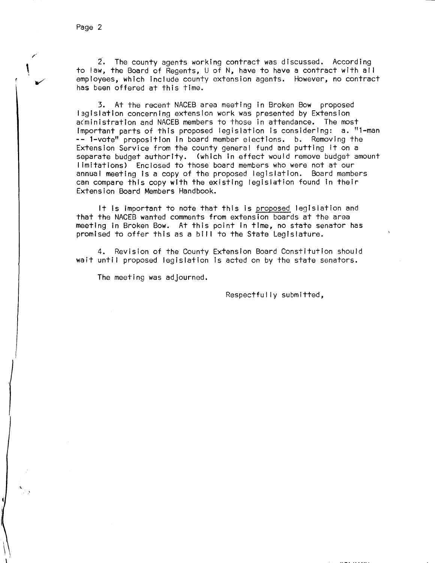$\mathbf{\mathsf{I}}$ 

2. The county agents working contract was discussed. According to law, the Board of Regents, U of N, have to have a contract with all employees, which include county extension agents. However, no contract has been offered at this time.

3. At the recent NACEB area meeting in Broken Bow proposed 13glslation concerning extension work was presented by Extension ac'ministratlon and NACEB members to those in attendance. The most Important parts of this proposed legislation is considering: a. "l-man **--** l-vote" proposition in board member elections. b. Removing the Extension Service from the county general fund and putting it on a separate budget authority. (which in effect would remove budget amount limitations) Enclosed to those board members who were not at our<br>annual meeting is a copy of the proposed legislation. Board members annual meeting is a copy of the proposed legislation. can compare this copy with the existing legislation found in their Extension Board Members Handbook.

It is important to note that this is proposed legislation and that the NACEB wanted comments from extension boards at the area meeting in Broken Bow. At this point in time, no state senator has promised to offer this as a bill to the State Legislature.

4. Revision of the County Extension Board Constitution should wait until proposed legislation is acted on by the state senators.

The meeting was adjourned.

Respectfully submitted,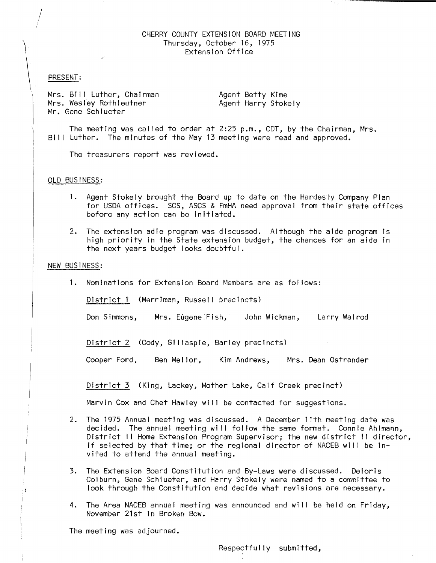#### CHERRY COUNTY EXTENSION BOARD MEETING Thursday, October 16, 1975 Extension Office

#### PRESENT:

Mrs. Bill Luther, Chairman Mrs. Wesley Rothleutner Mr. Gene Schlueter

Agent Betty Kime Agent Harry Stokely

The meeting was cal led to order at 2:25 p.m., CDT, by the Chairman, Mrs. Bil I Luther. The minutes of the May 13 meeting were read and approved.

The treasurers report was reviewed.

#### OLD BUSINESS:

- 1. Agent Stokely brought the Board up to date on the Hardesty Company Plan for USDA offices. SCS, ASCS & FmHA need approval from their state offices before any action can be initiated.
- 2. The extension adie program was discussed. Although the aide program is high priority in the State extension budget, the chances for an aide in the next years budget looks doubtful.

## NEW BUSINESS:

1. Nominations for Extension Board Members are as fol lows:

District 1 (Merriman, Russell precincts)

Don Simmons, Mrs. Eugene:Fish, John Wickman, Larry Walrod

District 2 (Cody, Gillaspie, Barley precincts)

Cooper Ford, Ben Mel lor, Kim Andrews, Mrs. Dean Ostrander

District 3 (King, Lackey, Mother Lake, Calf Creek precinct)

Marvin Cox and Chet Hawley will be contacted for suggestions.

- 2. The 1975 Annual meeting was discussed. A December 11th meeting date was decided. The annual meeting will follow the same format. Connie Ahlmann, District II Home Extension Program Supervisor; the new district II director, if selected by that time; or the regional director of NACEB will be invited to attend the annual meeting.
- 3. The Extension Board Constitution and By-Laws were discussed. Deloris Colburn, Gene Schlueter, and Harry Stokely were named to a committee to look through the Constitution and decide what revisions are necessary.
- 4. The Area NACEB annual meeting was announced and will be held on Friday, November 21st in Broken Bow.

The meeting was adjourned.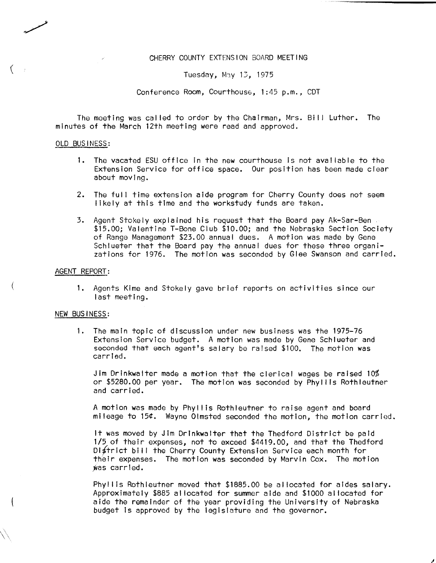## CHERRY COUNTY EXTENSION BOARD MEETING

Tuesday, May 13, 1975

Conference Room, Courthouse, 1:45 p.m., CDT

The meeting was cal led to order by the Chairman, Mrs. Bi I I Luther. The minutes of the March 12th meeting were read and approved.

## OLD BUSINESS:

- 1. The vacated ESU office in the new courthouse is not available to the Extension Service for office space. Our position has been made clear about moving.
- 2. The full time extension aide program for Cherry County does not seem likely at this time and the workstudy funds are taken.
- 3. Agent Stokely explained his request that the Board pay Ak-Sar-Ben \$15.00; Valentine T-Bone Club \$10.00; and the Nebraska Section Society of Range Management \$23.00 annual dues. A motion was made by Gene Schlueter that the Board pay the annual dues for these three organizations for 1976. The motion was seconded by Glee Swanson and carried.

## AGENT REPORT:

1. Agents Kime and Stokely gave brief reports on activities since our last meeting.

## NEW BUSINESS:

1. The main topic of discussion under new business was the 1975-76 Extension Service budget. A motion was made by Gene Schlueter and seconded that each agent's salary be raised \$100. The motion was carried.

Jim Drinkwalter made a motion that the clerical wages be raised 10% or \$5280.00 per year. The motion was seconded by Phyl lis Rothleutner and carried.

A motion was made by Phyllis Rothleutner to raise agent and board mileage to 15¢. Wayne Olmsted seconded the motion, the motion carried.

It was moved by Jim Drinkwalter that the Thedford District be paid 1/5 of their expenses, not to exceed \$4419.00, and that the Thedford District bill the Cherry County Extension Service each month for their expenses. The motion was seconded by Marvin Cox. The motion was carried.

Phyllis Rothleutner moved that \$1885.00 be allocated for aides salary. Approximately \$885 al located for summer aide and \$1000 al located for aide the remainder of the year providing the University of Nebraska budget is approved by the legislature and the governor.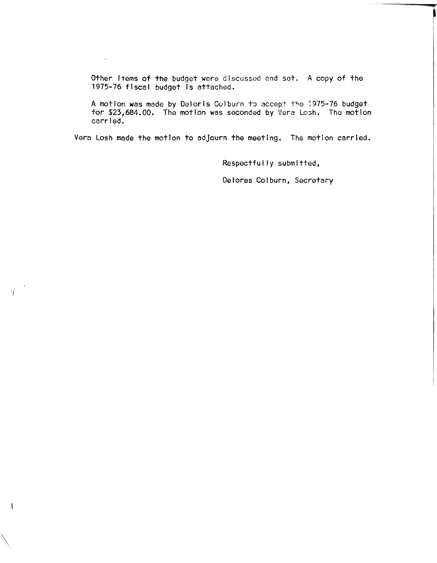Other items of the budget were discussed and set. A copy of the 1975-76 fiscal budget is attached.

 $\mathcal{S}^{\pm}$ 

A motion was made by Deloris Colburn to accept the 1975-76 budget for \$23,684.00. The motion was seconded by Vera Losh. The motion carried.

Vera Losh made the motion to adjourn the meeting. The motion carried.

Respectfully submitted,

Delores Colburn, Secretary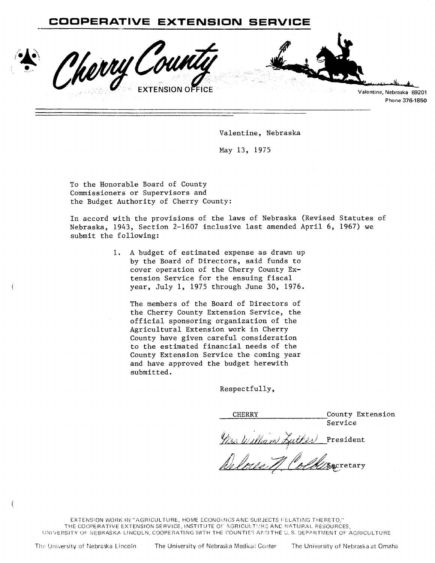Morry Count Valentine, Nebraska Phone 37

Valentine, Nebraska

May 13, 1975

To the Honorable Board of County Commissioners or Supervisors and the Budget Authority of Cherry County:

In accord with the provisions of the laws of Nebraska (Revised Statutes of Nebraska, 1943, Section 2-1607 inclusive last amended April 6, 1967) we submit the following:

> A budget of estimated expense as drawn up  $1.$ by the Board of Directors, said funds to cover operation of the Cherry County Extension Service for the ensuing fiscal year, July 1, 1975 through June 30, 1976.

The members of the Board of Directors of the Cherry County Extension Service, the official sponsoring organization of the Agricultural Extension work in Cherry County have given careful consideration to the estimated financial needs of the County Extension Service the coming year and have approved the budget herewith submitted.

Respectfully,

County Extension CHERRY Service Mrs. William Zuther President

ecretary

EXTENSION WORK IN "AGRICULTURE, HOME ECONOMICS AND SUBJECTS FELATING THERETO," THE COOPERATIVE EXTENSION SERVICE, INSTITUTE OF AGRICULTURE AND NATURAL RESOURCES, UNIVERSITY OF NEBRASKA-LINCOLN, COOPERATING WITH THE COUNTIES AND THE U.S. DEPARTMENT OF AGRICULTURE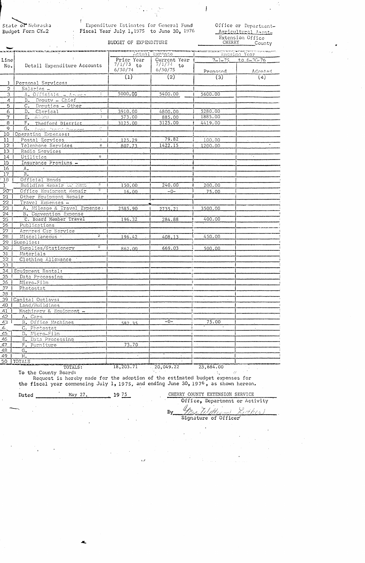State of Nebraska Budget Form CY-2

÷

Expenditure Estimates for General Fund Fiscal Year July 1, 1975 to June 30, 1976 Office or Department-Agricultural Asont-Extension Office CHERRY County

## BUDGET OF EXPENDITURE

|                   | ka sama jermana mata mata as                           | Actual Expense (Ensuing Year) |                  |                                  |                                       |  |
|-------------------|--------------------------------------------------------|-------------------------------|------------------|----------------------------------|---------------------------------------|--|
| Line              | Detail Expenditure Accounts                            | Prior Year                    | Current Year     |                                  |                                       |  |
| No.               |                                                        | $7/1/73$ to                   | $7/1/74$ to      | $7 - 1 - 75$<br>to $6 - 36 - 76$ |                                       |  |
|                   |                                                        | 6/30/74                       | 6/30/75          | Proposed                         | <u>Adopted</u>                        |  |
|                   |                                                        | $\left( 1\right)$             | $\overline{(2)}$ | (3)                              | (4)                                   |  |
| <sup>3</sup>      | Personal Services:                                     |                               |                  |                                  |                                       |  |
| $\overline{2}$    | Salaries -                                             |                               |                  |                                  |                                       |  |
| 3                 | $\mathcal{V}$<br>A. Officials - Aroute                 | 5000.00                       | 5400.00          | 5600.00                          |                                       |  |
| $\overline{4}$    | B. Deputy - Chief                                      |                               |                  |                                  |                                       |  |
| 5                 | $C_{\star}$<br>Deputies - Other                        |                               |                  |                                  |                                       |  |
| $\overline{6}$    | $D_{\bullet}$<br>Clerical                              | 3910.00                       | 4800.00          | 5280.00                          |                                       |  |
| $\overline{\tau}$ | E. Aldes<br>19.                                        | 573.00                        | 885.00           | 1885.00                          |                                       |  |
| $\overline{8}$    | $F_{\bullet}$<br>Thedford District                     | 3125.00                       | 3125.00          | 4419.00                          |                                       |  |
| $\overline{9}$    | $\mathcal{O}^{\mathcal{O}}$<br>G. Avon Practic Summons |                               |                  |                                  |                                       |  |
| 10                | Operating Emenses:                                     |                               |                  |                                  |                                       |  |
| 11                | $\frac{1}{\sqrt{2}}$<br>Postal Services                | 125.29                        | 79.82            | 100.00                           |                                       |  |
| $\overline{12}$   | Telephone Services<br>英                                | 807.73                        | 1422.15          | 1200.00                          |                                       |  |
| 13                | Radio Services                                         |                               |                  |                                  |                                       |  |
| $1\dot{4}$        | $\frac{3\pi}{2\pi}$<br>Utilities                       |                               |                  |                                  | $\mathcal{F}_{\mathbf{a},\mathbf{b}}$ |  |
| 15                | Insurance Premiums -                                   |                               |                  |                                  |                                       |  |
| 16                | $A_{\bullet}$                                          |                               |                  |                                  |                                       |  |
| $\overline{17}$   | $B_{\bullet}$                                          |                               |                  |                                  |                                       |  |
| $\overline{18}$   | Official Bonds                                         |                               |                  |                                  |                                       |  |
| $\mathbf{1}$      | Ŧ<br>Building Repair Or Rent                           | 150.00                        | 240.00           | 200.00                           |                                       |  |
| $\overline{20}$   | Ŧ<br>Office Equipment Repair                           | 16.00                         | $-0-$            | 75.00                            |                                       |  |
| 21                | Other Equipment Repair                                 |                               |                  |                                  |                                       |  |
| 22                | Travel Expenses -                                      |                               |                  |                                  |                                       |  |
| 23                | A. Mileage & Travel Expenses                           | 2585.90                       | 2735.21          | 3500.00                          |                                       |  |
| 24                | B. Convention Expense                                  |                               |                  |                                  |                                       |  |
| 25                | C. Board Member Travel                                 | 196.32                        | 284.88           | 400.00                           |                                       |  |
| 26                | Publications                                           |                               |                  |                                  |                                       |  |
| $\overline{27}$   | Armored Car Service                                    |                               |                  |                                  |                                       |  |
| 28                | Ŧ<br>Miscellaneous :                                   | 196.42                        | 408.13           | 450.00                           |                                       |  |
| 29                | Supplies:                                              |                               |                  |                                  |                                       |  |
| 30                | $\mathbb{R}^n$<br>Supplies/Stationery                  | 862.00                        | 669.03           | 500.00                           |                                       |  |
| 31                | Materials                                              |                               |                  |                                  |                                       |  |
| $\overline{32}$   | Clothing Allowance                                     |                               |                  |                                  |                                       |  |
| 33                |                                                        |                               |                  |                                  |                                       |  |
| 34                | Equipment Rental:                                      |                               |                  |                                  |                                       |  |
| 35                | Data Processing                                        |                               |                  |                                  |                                       |  |
| 36                | Micro-Film                                             |                               |                  |                                  |                                       |  |
| 37                | Photostat                                              |                               |                  |                                  |                                       |  |
| 38                |                                                        |                               |                  |                                  |                                       |  |
| 39                | Capital Outlays:                                       |                               |                  |                                  |                                       |  |
| 40                | Land/Buildings                                         |                               |                  |                                  |                                       |  |
| 41                | Machinery & Equipment -                                |                               |                  |                                  |                                       |  |
| 42                | A. Cars                                                |                               |                  |                                  |                                       |  |
| 43                | B. Office Machines                                     | 582.35                        | $-0-$            | 75.00                            |                                       |  |
| $\overline{4}$    | C. Photostat                                           |                               |                  |                                  |                                       |  |
| 45                | D. Micro-Film                                          |                               |                  |                                  |                                       |  |
| 46                | E. Data Processing                                     |                               |                  |                                  |                                       |  |
| 47                | F. Furniture                                           | 73.70                         |                  |                                  |                                       |  |
| 48                | $G_{\bullet}$                                          |                               |                  |                                  |                                       |  |
| 49                | $H_{\bullet}$                                          | $\mathcal{H}^{\prime}$        | $\infty$         |                                  | $\epsilon$ .                          |  |
| 50                | <b>TOTALS</b>                                          | 18,203.71                     | 20,049.22        | 23,684.00                        |                                       |  |
|                   | TOTALS:                                                |                               |                  |                                  |                                       |  |

To the County Board:

Request is hereby made for the adoption of the estimated budget expenses for the fiscal year commencing July 1, 1975, and ending June 30, 1976, as shown hereon.

 $\mathcal{F}_{\mathcal{A}}$  .

May 27,  $1975$ Dated

CHERRY COUNTY EXTENSION SERVICE

 $\mathcal{L}^{\text{max}}(\mathcal{A})$  .

 $\sim 10^6$ 

Office, Department or Activity  $By$ 

Signature of Officer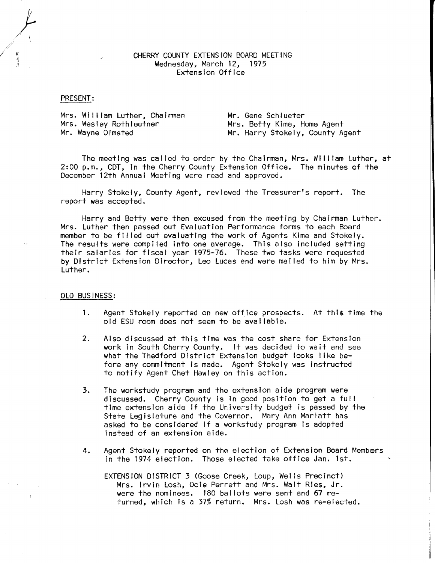## CHERRY COUNTY EXTENSION BOARD MEETING Wednesday, March 12, 1975 Extension Office

#### PRESENT:

}<br>}

Mrs. Wil I iam Luther, Chairman Mrs. Wesley Rothleutner<br>Mr. Wayne Olmsted

Mr. Gene Schlueter Mrs. Betty Kime, Home Agent Mr. Harry Stokely, County Agent

The meeting was cal led to order by the Chairman, Mrs. Wil I iam Luther, at 2:00 p.m., COT, in the Cherry County Extension Office. The minutes of the December 12th Annual Meeting were read and approved.

Harry Stokely, County Agent, reviewed the Treasurer's report. The report was accepted.

Harry and Betty were then excused from the meeting by Chairman Luther. Mrs. Luther then passed out Evaluation Performance forms to each Board member to be fll led out evaluating the work of Agents Kime and Stokely. The results were compiled into one average. This also Included setting their salaries for fiscal year 1975-76. These two tasks were requested by District Extension Director, Leo Lucas and were mailed to him by Mrs. Luther.

#### OLD BUSINESS:

- 1. Agent Stokely reported on new office prospects. At this time the old ESU room does not seem to be available.
- 2. Also discussed at this time was the cost share for Extension work in South Cherry County. It was decided to wait and see what the Thedford District Extension budget looks I ike before any commitment is made. Agent Stokely was instructed to notify Agent Chet Hawley on this action.
- 3. The workstudy program and the extension aide program were discussed. Cherry County is in good position to get a ful I time extension aide If the University budget is passed by the State Legislature and the Governor. Mary Ann Marlatt has asked to be considered if a workstudy program is adopted instead of an extension aide.
- 4. Agent Stokely reported on the election of Extension Board Members in the 1974 election. Those elected take office Jan. 1st.

EXTENSION DISTRICT 3 (Goose Creek, Loup, Wells Precinct) Mrs. Irvin Losh, Ocie Perrett and Mrs. Walt Ries, Jr. were the nominees. 180 bal lots were sent and 67 returned, which is a 37% return. Mrs. Losh was re-elected.